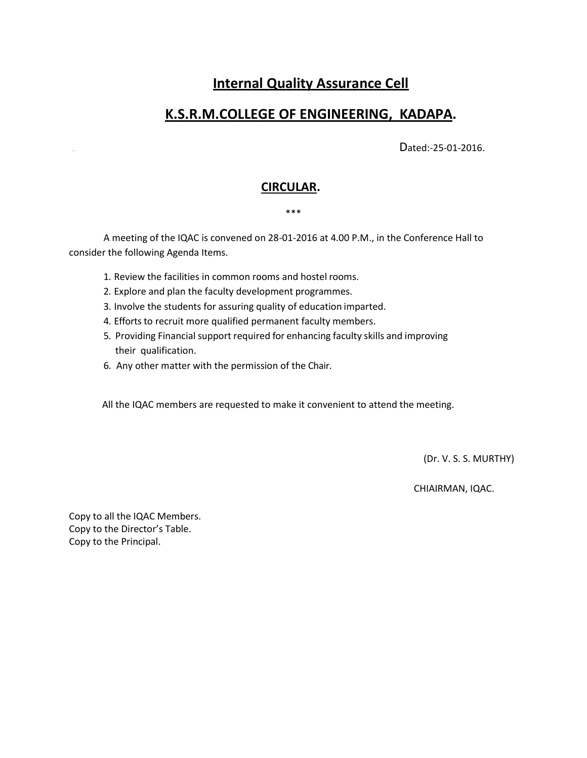# **Internal Quality Assurance Cell**

## **K.S.R.M.COLLEGE OF ENGINEERING, KADAPA.**

Dated:-25-01-2016.

### **CIRCULAR.**

#### \*\*\*

A meeting of the IQAC is convened on 28-01-2016 at 4.00 P.M., in the Conference Hall to consider the following Agenda Items.

- 1. Review the facilities in common rooms and hostel rooms.
- 2. Explore and plan the faculty development programmes.
- 3. Involve the students for assuring quality of education imparted.
- 4. Efforts to recruit more qualified permanent faculty members.
- 5. Providing Financial support required for enhancing faculty skills and improving their qualification.
- 6. Any other matter with the permission of the Chair.

All the IQAC members are requested to make it convenient to attend the meeting.

(Dr. V. S. S. MURTHY)

CHIAIRMAN, IQAC.

Copy to all the IQAC Members. Copy to the Director's Table. Copy to the Principal.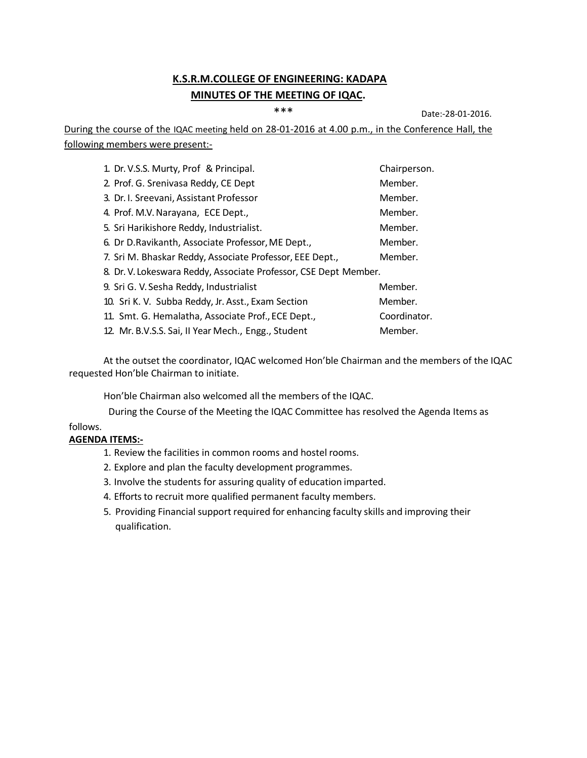### **K.S.R.M.COLLEGE OF ENGINEERING: KADAPA MINUTES OF THE MEETING OF IQAC.**

\*\*\* Date:-28-01-2016.

During the course of the IQAC meeting held on 28-01-2016 at 4.00 p.m., in the Conference Hall, the following members were present:-

| 1. Dr. V.S.S. Murty, Prof & Principal.                           | Chairperson. |
|------------------------------------------------------------------|--------------|
| 2. Prof. G. Srenivasa Reddy, CE Dept                             | Member.      |
| 3. Dr. I. Sreevani, Assistant Professor                          | Member.      |
| 4. Prof. M.V. Narayana, ECE Dept.,                               | Member.      |
| 5. Sri Harikishore Reddy, Industrialist.                         | Member.      |
| 6. Dr D. Ravikanth, Associate Professor, ME Dept.,               | Member.      |
| 7. Sri M. Bhaskar Reddy, Associate Professor, EEE Dept.,         | Member.      |
| 8. Dr. V. Lokeswara Reddy, Associate Professor, CSE Dept Member. |              |
| 9. Sri G. V. Sesha Reddy, Industrialist                          | Member.      |
| 10. Sri K. V. Subba Reddy, Jr. Asst., Exam Section               | Member.      |
| 11. Smt. G. Hemalatha, Associate Prof., ECE Dept.,               | Coordinator. |
| 12. Mr. B.V.S.S. Sai, II Year Mech., Engg., Student              | Member.      |

At the outset the coordinator, IQAC welcomed Hon'ble Chairman and the members of the IQAC requested Hon'ble Chairman to initiate.

Hon'ble Chairman also welcomed all the members of the IQAC.

During the Course of the Meeting the IQAC Committee has resolved the Agenda Items as

follows.

#### **AGENDA ITEMS:-**

- 1. Review the facilities in common rooms and hostel rooms.
- 2. Explore and plan the faculty development programmes.
- 3. Involve the students for assuring quality of education imparted.
- 4. Efforts to recruit more qualified permanent faculty members.
- 5. Providing Financial support required for enhancing faculty skills and improving their qualification.